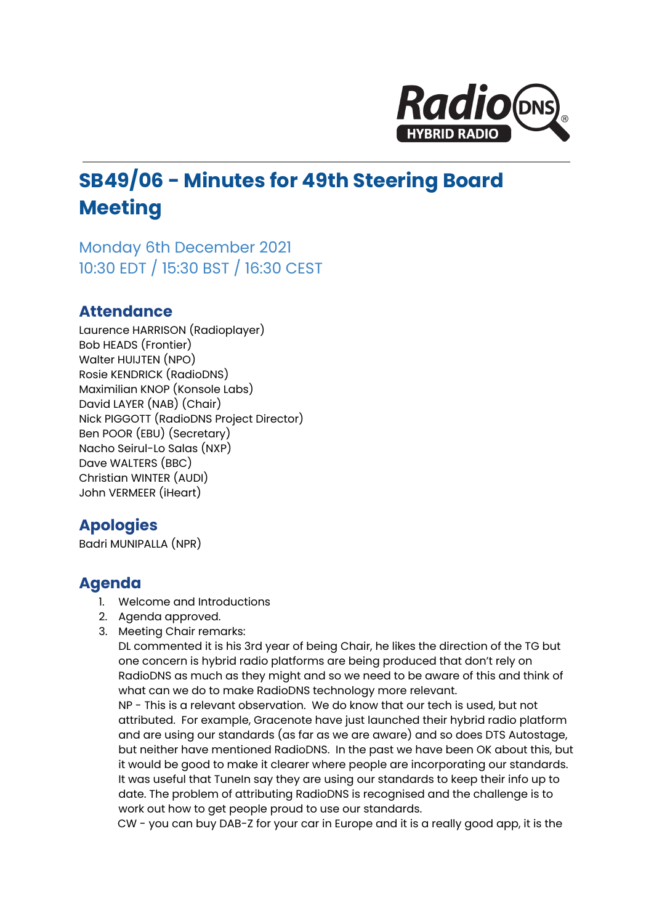

# **SB49/06 - Minutes for 49th Steering Board Meeting**

Monday 6th December 2021 10:30 EDT / 15:30 BST / 16:30 CEST

### **Attendance**

Laurence HARRISON (Radioplayer) Bob HEADS (Frontier) Walter HUIJTEN (NPO) Rosie KENDRICK (RadioDNS) Maximilian KNOP (Konsole Labs) David LAYER (NAB) (Chair) Nick PIGGOTT (RadioDNS Project Director) Ben POOR (EBU) (Secretary) Nacho Seirul-Lo Salas (NXP) Dave WALTERS (BBC) Christian WINTER (AUDI) John VERMEER (iHeart)

## **Apologies**

Badri MUNIPALLA (NPR)

## **Agenda**

- 1. Welcome and Introductions
- 2. Agenda approved.
- 3. Meeting Chair remarks:

DL commented it is his 3rd year of being Chair, he likes the direction of the TG but one concern is hybrid radio platforms are being produced that don't rely on RadioDNS as much as they might and so we need to be aware of this and think of what can we do to make RadioDNS technology more relevant.

NP - This is a relevant observation. We do know that our tech is used, but not attributed. For example, Gracenote have just launched their hybrid radio platform and are using our standards (as far as we are aware) and so does DTS Autostage, but neither have mentioned RadioDNS. In the past we have been OK about this, but it would be good to make it clearer where people are incorporating our standards. It was useful that TuneIn say they are using our standards to keep their info up to date. The problem of attributing RadioDNS is recognised and the challenge is to work out how to get people proud to use our standards.

CW - you can buy DAB-Z for your car in Europe and it is a really good app, it is the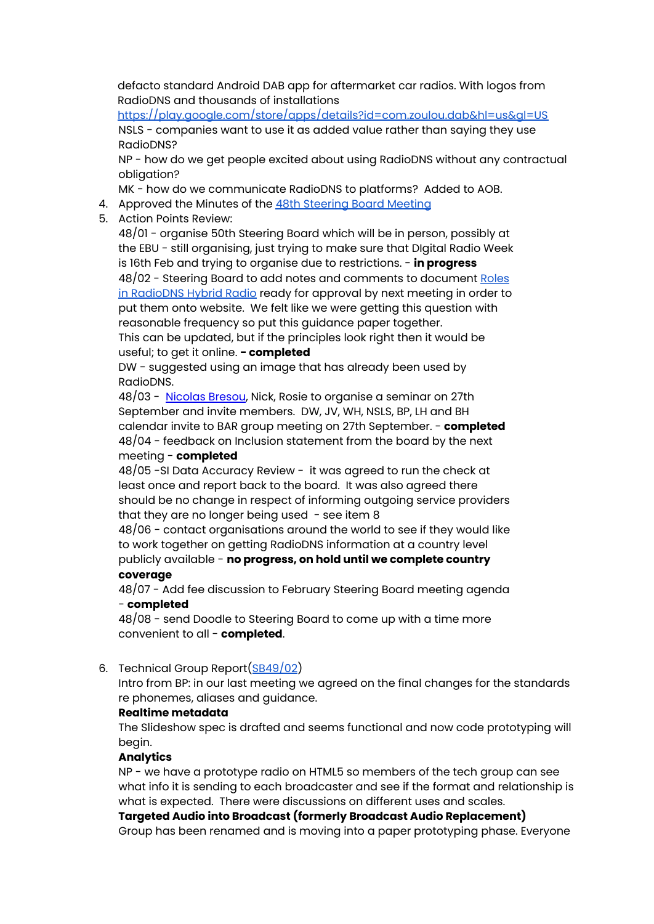defacto standard Android DAB app for aftermarket car radios. With logos from RadioDNS and thousands of installation[s](https://play.google.com/store/apps/details?id=com.zoulou.dab&hl=us&gl=US)

<https://play.google.com/store/apps/details?id=com.zoulou.dab&hl=us&gl=US> NSLS - companies want to use it as added value rather than saying they use RadioDNS?

NP - how do we get people excited about using RadioDNS without any contractual obligation?

MK - how do we communicate RadioDNS to platforms? Added to AOB.

- 4. Approved the Minutes of the 48th [Steering](https://docs.google.com/document/d/1Gr9fzjn3y66uHNrH6mp-riDUqCSNTzEEmFpCoh8sWUo/edit?usp=sharing) Board Meeting
- 5. Action Points Review:

48/01 - organise 50th Steering Board which will be in person, possibly at the EBU - still organising, just trying to make sure that DIgital Radio Week is 16th Feb and trying to organise due to restrictions. - **in progress** 48/02 - Steering Board to add notes and comments to document [Roles](https://docs.google.com/document/d/1s8moGZyq_RQeddUN2Qpapke-VA6MZ3KLuuhI6ggvib8/edit#heading=h.qm8gzbyxgu59) in [RadioDNS](https://docs.google.com/document/d/1s8moGZyq_RQeddUN2Qpapke-VA6MZ3KLuuhI6ggvib8/edit#heading=h.qm8gzbyxgu59) Hybrid Radio ready for approval by next meeting in order to put them onto website. We felt like we were getting this question with reasonable frequency so put this guidance paper together. This can be updated, but if the principles look right then it would be

#### useful; to get it online. **- completed**

DW - suggested using an image that has already been used by RadioDNS.

48/03 - [Nicolas](mailto:ncbr@maradio.be) Bresou, Nick, Rosie to organise a seminar on 27th September and invite members. DW, JV, WH, NSLS, BP, LH and BH calendar invite to BAR group meeting on 27th September. - **completed** 48/04 - feedback on Inclusion statement from the board by the next meeting - **completed**

48/05 -SI Data Accuracy Review - it was agreed to run the check at least once and report back to the board. It was also agreed there should be no change in respect of informing outgoing service providers that they are no longer being used  $-$  see item 8

48/06 - contact organisations around the world to see if they would like to work together on getting RadioDNS information at a country level publicly available - **no progress, on hold until we complete country coverage**

48/07 - Add fee discussion to February Steering Board meeting agenda - **completed**

48/08 - send Doodle to Steering Board to come up with a time more convenient to all - **completed**.

#### 6. Technical Group Report([SB49/02](https://docs.google.com/document/d/15q4KobAOiw6XrJWJG3hXV924c5TLxek--_mfxp4wJbo/edit))

Intro from BP: in our last meeting we agreed on the final changes for the standards re phonemes, aliases and guidance.

#### **Realtime metadata**

The Slideshow spec is drafted and seems functional and now code prototyping will begin.

#### **Analytics**

NP - we have a prototype radio on HTML5 so members of the tech group can see what info it is sending to each broadcaster and see if the format and relationship is what is expected. There were discussions on different uses and scales.

**Targeted Audio into Broadcast (formerly Broadcast Audio Replacement)** Group has been renamed and is moving into a paper prototyping phase. Everyone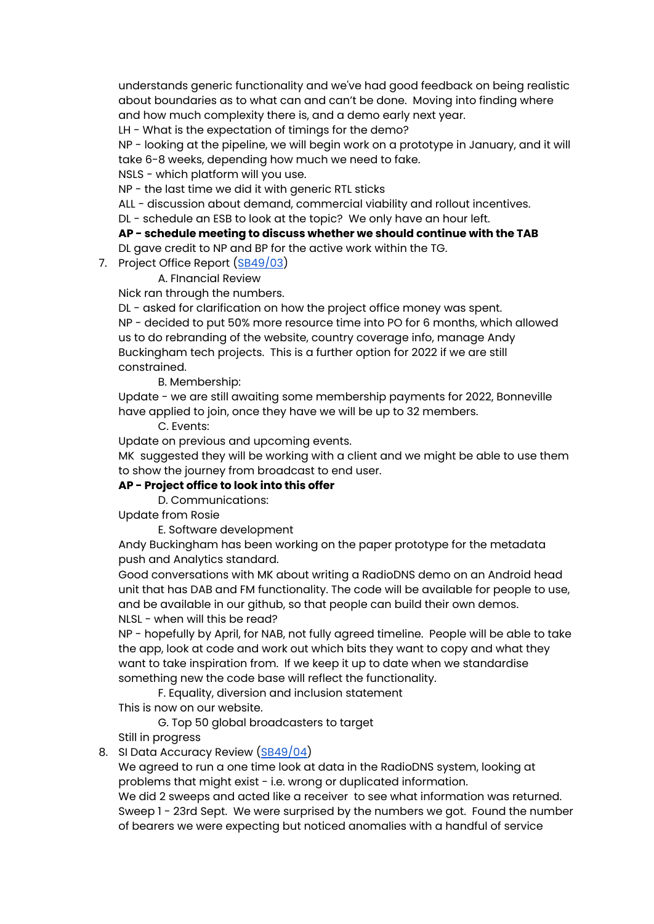understands generic functionality and we've had good feedback on being realistic about boundaries as to what can and can't be done. Moving into finding where and how much complexity there is, and a demo early next year.

LH - What is the expectation of timings for the demo?

NP - looking at the pipeline, we will begin work on a prototype in January, and it will take 6-8 weeks, depending how much we need to fake.

NSLS - which platform will you use.

NP - the last time we did it with generic RTL sticks

ALL - discussion about demand, commercial viability and rollout incentives.

DL - schedule an ESB to look at the topic? We only have an hour left.

#### **AP - schedule meeting to discuss whether we should continue with the TAB**

DL gave credit to NP and BP for the active work within the TG.

7. Project Office Report ([SB49/03](https://docs.google.com/document/d/10dCJv8_qm-1bQPD0PV2Sh8hg8cj97hLWgsxjFQnIa_w/edit?usp=sharing))

A. FInancial Review

Nick ran through the numbers.

DL - asked for clarification on how the project office money was spent. NP - decided to put 50% more resource time into PO for 6 months, which allowed us to do rebranding of the website, country coverage info, manage Andy Buckingham tech projects. This is a further option for 2022 if we are still constrained.

B. Membership:

Update - we are still awaiting some membership payments for 2022, Bonneville have applied to join, once they have we will be up to 32 members.

C. Events:

Update on previous and upcoming events.

MK suggested they will be working with a client and we might be able to use them to show the journey from broadcast to end user.

#### **AP - Project office to look into this offer**

D. Communications:

Update from Rosie

E. Software development

Andy Buckingham has been working on the paper prototype for the metadata push and Analytics standard.

Good conversations with MK about writing a RadioDNS demo on an Android head unit that has DAB and FM functionality. The code will be available for people to use, and be available in our github, so that people can build their own demos. NLSL - when will this be read?

NP - hopefully by April, for NAB, not fully agreed timeline. People will be able to take the app, look at code and work out which bits they want to copy and what they want to take inspiration from. If we keep it up to date when we standardise something new the code base will reflect the functionality.

F. Equality, diversion and inclusion statement

This is now on our website.

G. Top 50 global broadcasters to target

Still in progress

8. SI Data Accuracy Review ([SB49/04\)](https://docs.google.com/document/d/1Ws15bfVAZAPW0ldnVUCBV8HLBC0d6qOOms_uQY5p7ZA/edit)

We agreed to run a one time look at data in the RadioDNS system, looking at problems that might exist - i.e. wrong or duplicated information.

We did 2 sweeps and acted like a receiver to see what information was returned. Sweep 1 - 23rd Sept. We were surprised by the numbers we got. Found the number of bearers we were expecting but noticed anomalies with a handful of service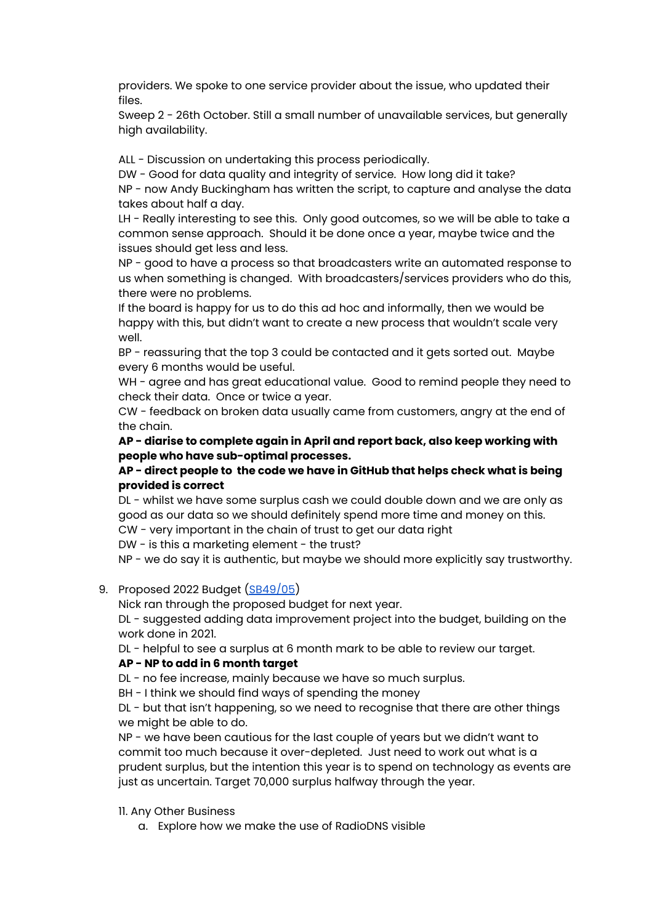providers. We spoke to one service provider about the issue, who updated their files.

Sweep 2 - 26th October. Still a small number of unavailable services, but generally high availability.

ALL - Discussion on undertaking this process periodically.

DW - Good for data quality and integrity of service. How long did it take? NP - now Andy Buckingham has written the script, to capture and analyse the data takes about half a day.

LH - Really interesting to see this. Only good outcomes, so we will be able to take a common sense approach. Should it be done once a year, maybe twice and the issues should get less and less.

NP - good to have a process so that broadcasters write an automated response to us when something is changed. With broadcasters/services providers who do this, there were no problems.

If the board is happy for us to do this ad hoc and informally, then we would be happy with this, but didn't want to create a new process that wouldn't scale very well.

BP - reassuring that the top 3 could be contacted and it gets sorted out. Maybe every 6 months would be useful.

WH - agree and has great educational value. Good to remind people they need to check their data. Once or twice a year.

CW - feedback on broken data usually came from customers, angry at the end of the chain.

**AP - diarise to complete again in April and report back, also keep working with people who have sub-optimal processes.**

#### **AP - direct people to the code we have in GitHub that helps check what is being provided is correct**

DL - whilst we have some surplus cash we could double down and we are only as good as our data so we should definitely spend more time and money on this.

CW - very important in the chain of trust to get our data right

DW - is this a marketing element - the trust?

NP - we do say it is authentic, but maybe we should more explicitly say trustworthy.

#### 9. Proposed 2022 Budget [\(SB49/05](https://docs.google.com/document/d/1BgL84amF_4iuHvHEmbCxtRNp792P_iNG9zKB01fnDCQ/edit))

Nick ran through the proposed budget for next year.

DL - suggested adding data improvement project into the budget, building on the work done in 2021.

DL - helpful to see a surplus at 6 month mark to be able to review our target.

#### **AP - NP to add in 6 month target**

DL - no fee increase, mainly because we have so much surplus.

BH - I think we should find ways of spending the money

DL - but that isn't happening, so we need to recognise that there are other things we might be able to do.

NP - we have been cautious for the last couple of years but we didn't want to commit too much because it over-depleted. Just need to work out what is a prudent surplus, but the intention this year is to spend on technology as events are just as uncertain. Target 70,000 surplus halfway through the year.

11. Any Other Business

a. Explore how we make the use of RadioDNS visible